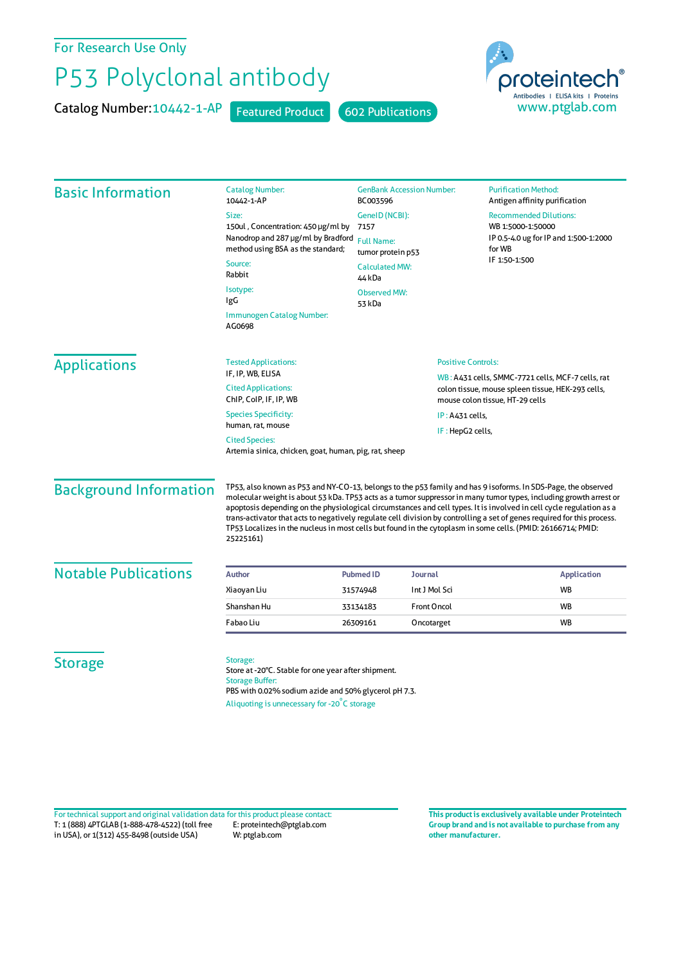For Research Use Only

## P53 Polyclonal antibody

Catalog Number: 10442-1-AP Featured Product 602 Publications



| <b>Basic Information</b>                                                       | <b>Catalog Number:</b><br>10442-1-AP                                                                                               | <b>GenBank Accession Number:</b><br>BC003596<br>GenelD (NCBI):<br>7157<br><b>Full Name:</b><br>tumor protein p53<br><b>Calculated MW:</b><br>44 kDa |                           | <b>Purification Method:</b><br>Antigen affinity purification                                                                                                                                                                                                                                                                                                                                                                                                                         |                                                   |                               |  |  |
|--------------------------------------------------------------------------------|------------------------------------------------------------------------------------------------------------------------------------|-----------------------------------------------------------------------------------------------------------------------------------------------------|---------------------------|--------------------------------------------------------------------------------------------------------------------------------------------------------------------------------------------------------------------------------------------------------------------------------------------------------------------------------------------------------------------------------------------------------------------------------------------------------------------------------------|---------------------------------------------------|-------------------------------|--|--|
|                                                                                | Size:                                                                                                                              |                                                                                                                                                     |                           | <b>Recommended Dilutions:</b><br>WB 1:5000-1:50000<br>IP 0.5-4.0 ug for IP and 1:500-1:2000<br>for WB<br>IF 1:50-1:500                                                                                                                                                                                                                                                                                                                                                               |                                                   |                               |  |  |
|                                                                                | 150ul, Concentration: 450 µg/ml by<br>Nanodrop and 287 µg/ml by Bradford<br>method using BSA as the standard;<br>Source:<br>Rabbit |                                                                                                                                                     |                           |                                                                                                                                                                                                                                                                                                                                                                                                                                                                                      |                                                   |                               |  |  |
|                                                                                |                                                                                                                                    |                                                                                                                                                     |                           |                                                                                                                                                                                                                                                                                                                                                                                                                                                                                      | Isotype:<br>IgG                                   | <b>Observed MW:</b><br>53 kDa |  |  |
|                                                                                |                                                                                                                                    |                                                                                                                                                     |                           |                                                                                                                                                                                                                                                                                                                                                                                                                                                                                      | Immunogen Catalog Number:<br>AG0698               |                               |  |  |
|                                                                                | <b>Applications</b>                                                                                                                | <b>Tested Applications:</b>                                                                                                                         | <b>Positive Controls:</b> |                                                                                                                                                                                                                                                                                                                                                                                                                                                                                      |                                                   |                               |  |  |
|                                                                                |                                                                                                                                    | IF, IP, WB, ELISA                                                                                                                                   |                           |                                                                                                                                                                                                                                                                                                                                                                                                                                                                                      | WB: A431 cells, SMMC-7721 cells, MCF-7 cells, rat |                               |  |  |
| <b>Cited Applications:</b><br>ChIP, CoIP, IF, IP, WB                           |                                                                                                                                    |                                                                                                                                                     |                           | colon tissue, mouse spleen tissue, HEK-293 cells,<br>mouse colon tissue, HT-29 cells                                                                                                                                                                                                                                                                                                                                                                                                 |                                                   |                               |  |  |
| <b>Species Specificity:</b>                                                    |                                                                                                                                    | $IP: A431$ cells,                                                                                                                                   |                           |                                                                                                                                                                                                                                                                                                                                                                                                                                                                                      |                                                   |                               |  |  |
| human, rat, mouse                                                              |                                                                                                                                    |                                                                                                                                                     | IF: HepG2 cells,          |                                                                                                                                                                                                                                                                                                                                                                                                                                                                                      |                                                   |                               |  |  |
| <b>Cited Species:</b><br>Artemia sinica, chicken, goat, human, pig, rat, sheep |                                                                                                                                    |                                                                                                                                                     |                           |                                                                                                                                                                                                                                                                                                                                                                                                                                                                                      |                                                   |                               |  |  |
| <b>Background Information</b>                                                  | TP53 Localizes in the nucleus in most cells but found in the cytoplasm in some cells. (PMID: 26166714; PMID:<br>25225161)          |                                                                                                                                                     |                           | TP53, also known as P53 and NY-CO-13, belongs to the p53 family and has 9 isoforms. In SDS-Page, the observed<br>molecular weight is about 53 kDa. TP53 acts as a tumor suppressor in many tumor types, including growth arrest or<br>apoptosis depending on the physiological circumstances and cell types. It is involved in cell cycle regulation as a<br>trans-activator that acts to negatively regulate cell division by controlling a set of genes required for this process. |                                                   |                               |  |  |
| <b>Notable Publications</b>                                                    | <b>Author</b>                                                                                                                      | <b>Pubmed ID</b><br><b>Journal</b>                                                                                                                  |                           | <b>Application</b>                                                                                                                                                                                                                                                                                                                                                                                                                                                                   |                                                   |                               |  |  |
|                                                                                | Xiaoyan Liu                                                                                                                        | 31574948                                                                                                                                            | Int J Mol Sci             | WB                                                                                                                                                                                                                                                                                                                                                                                                                                                                                   |                                                   |                               |  |  |
|                                                                                | Shanshan Hu                                                                                                                        | 33134183                                                                                                                                            | <b>Front Oncol</b>        | WB                                                                                                                                                                                                                                                                                                                                                                                                                                                                                   |                                                   |                               |  |  |
|                                                                                | Fabao Liu                                                                                                                          | 26309161                                                                                                                                            | Oncotarget                | <b>WB</b>                                                                                                                                                                                                                                                                                                                                                                                                                                                                            |                                                   |                               |  |  |
| <b>Storage</b>                                                                 | Storage:<br>Store at -20°C. Stable for one year after shipment.<br><b>Storage Buffer:</b>                                          |                                                                                                                                                     |                           |                                                                                                                                                                                                                                                                                                                                                                                                                                                                                      |                                                   |                               |  |  |

T: 1 (888) 4PTGLAB (1-888-478-4522) (toll free in USA), or 1(312) 455-8498 (outside USA) E: proteintech@ptglab.com W: ptglab.com Fortechnical support and original validation data forthis product please contact: **This productis exclusively available under Proteintech**

**Group brand and is not available to purchase from any other manufacturer.**